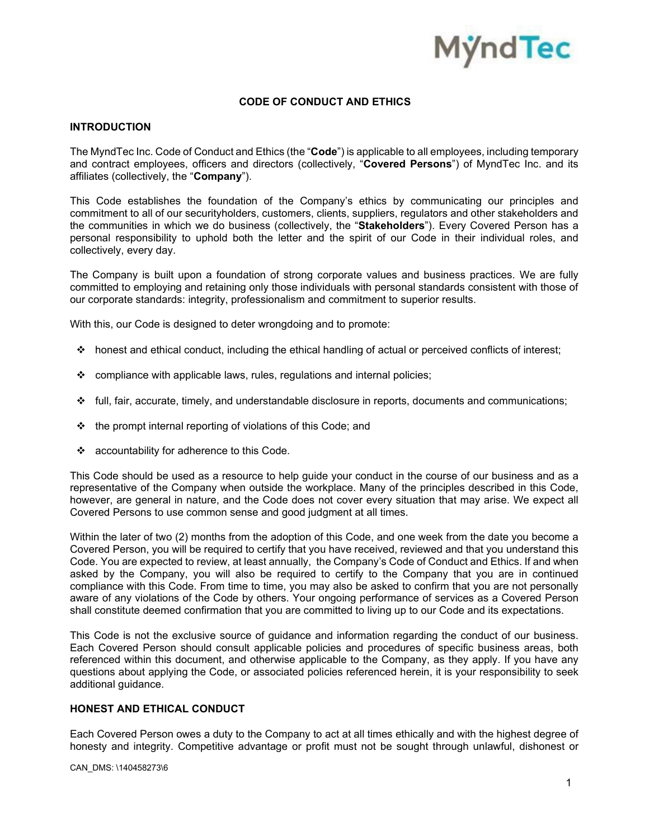

# **CODE OF CONDUCT AND ETHICS**

### **INTRODUCTION**

The MyndTec Inc. Code of Conduct and Ethics (the "**Code**") is applicable to all employees, including temporary and contract employees, officers and directors (collectively, "**Covered Persons**") of MyndTec Inc. and its affiliates (collectively, the "**Company**").

This Code establishes the foundation of the Company's ethics by communicating our principles and commitment to all of our securityholders, customers, clients, suppliers, regulators and other stakeholders and the communities in which we do business (collectively, the "**Stakeholders**"). Every Covered Person has a personal responsibility to uphold both the letter and the spirit of our Code in their individual roles, and collectively, every day.

The Company is built upon a foundation of strong corporate values and business practices. We are fully committed to employing and retaining only those individuals with personal standards consistent with those of our corporate standards: integrity, professionalism and commitment to superior results.

With this, our Code is designed to deter wrongdoing and to promote:

- honest and ethical conduct, including the ethical handling of actual or perceived conflicts of interest;
- $\div$  compliance with applicable laws, rules, regulations and internal policies;
- $\cdot \cdot$  full, fair, accurate, timely, and understandable disclosure in reports, documents and communications;
- $\cdot \cdot$  the prompt internal reporting of violations of this Code; and
- accountability for adherence to this Code.

This Code should be used as a resource to help guide your conduct in the course of our business and as a representative of the Company when outside the workplace. Many of the principles described in this Code, however, are general in nature, and the Code does not cover every situation that may arise. We expect all Covered Persons to use common sense and good judgment at all times.

Within the later of two (2) months from the adoption of this Code, and one week from the date you become a Covered Person, you will be required to certify that you have received, reviewed and that you understand this Code. You are expected to review, at least annually, the Company's Code of Conduct and Ethics. If and when asked by the Company, you will also be required to certify to the Company that you are in continued compliance with this Code. From time to time, you may also be asked to confirm that you are not personally aware of any violations of the Code by others. Your ongoing performance of services as a Covered Person shall constitute deemed confirmation that you are committed to living up to our Code and its expectations.

This Code is not the exclusive source of guidance and information regarding the conduct of our business. Each Covered Person should consult applicable policies and procedures of specific business areas, both referenced within this document, and otherwise applicable to the Company, as they apply. If you have any questions about applying the Code, or associated policies referenced herein, it is your responsibility to seek additional guidance.

## **HONEST AND ETHICAL CONDUCT**

Each Covered Person owes a duty to the Company to act at all times ethically and with the highest degree of honesty and integrity. Competitive advantage or profit must not be sought through unlawful, dishonest or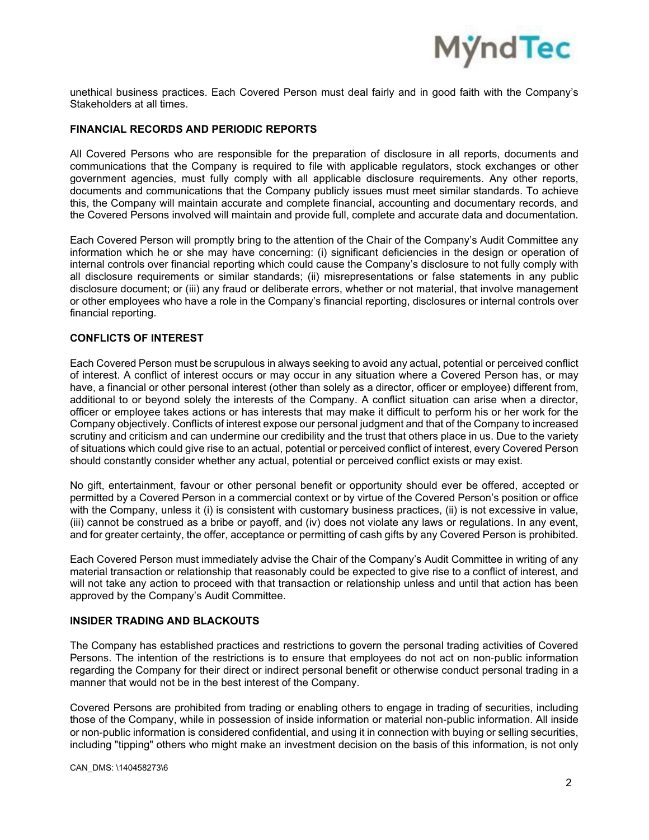

unethical business practices. Each Covered Person must deal fairly and in good faith with the Company's Stakeholders at all times.

## **FINANCIAL RECORDS AND PERIODIC REPORTS**

All Covered Persons who are responsible for the preparation of disclosure in all reports, documents and communications that the Company is required to file with applicable regulators, stock exchanges or other government agencies, must fully comply with all applicable disclosure requirements. Any other reports, documents and communications that the Company publicly issues must meet similar standards. To achieve this, the Company will maintain accurate and complete financial, accounting and documentary records, and the Covered Persons involved will maintain and provide full, complete and accurate data and documentation.

Each Covered Person will promptly bring to the attention of the Chair of the Company's Audit Committee any information which he or she may have concerning: (i) significant deficiencies in the design or operation of internal controls over financial reporting which could cause the Company's disclosure to not fully comply with all disclosure requirements or similar standards; (ii) misrepresentations or false statements in any public disclosure document; or (iii) any fraud or deliberate errors, whether or not material, that involve management or other employees who have a role in the Company's financial reporting, disclosures or internal controls over financial reporting.

## **CONFLICTS OF INTEREST**

Each Covered Person must be scrupulous in always seeking to avoid any actual, potential or perceived conflict of interest. A conflict of interest occurs or may occur in any situation where a Covered Person has, or may have, a financial or other personal interest (other than solely as a director, officer or employee) different from, additional to or beyond solely the interests of the Company. A conflict situation can arise when a director, officer or employee takes actions or has interests that may make it difficult to perform his or her work for the Company objectively. Conflicts of interest expose our personal judgment and that of the Company to increased scrutiny and criticism and can undermine our credibility and the trust that others place in us. Due to the variety of situations which could give rise to an actual, potential or perceived conflict of interest, every Covered Person should constantly consider whether any actual, potential or perceived conflict exists or may exist.

No gift, entertainment, favour or other personal benefit or opportunity should ever be offered, accepted or permitted by a Covered Person in a commercial context or by virtue of the Covered Person's position or office with the Company, unless it (i) is consistent with customary business practices, (ii) is not excessive in value, (iii) cannot be construed as a bribe or payoff, and (iv) does not violate any laws or regulations. In any event, and for greater certainty, the offer, acceptance or permitting of cash gifts by any Covered Person is prohibited.

Each Covered Person must immediately advise the Chair of the Company's Audit Committee in writing of any material transaction or relationship that reasonably could be expected to give rise to a conflict of interest, and will not take any action to proceed with that transaction or relationship unless and until that action has been approved by the Company's Audit Committee.

### **INSIDER TRADING AND BLACKOUTS**

The Company has established practices and restrictions to govern the personal trading activities of Covered Persons. The intention of the restrictions is to ensure that employees do not act on non‐public information regarding the Company for their direct or indirect personal benefit or otherwise conduct personal trading in a manner that would not be in the best interest of the Company.

Covered Persons are prohibited from trading or enabling others to engage in trading of securities, including those of the Company, while in possession of inside information or material non‐public information. All inside or non‐public information is considered confidential, and using it in connection with buying or selling securities, including "tipping" others who might make an investment decision on the basis of this information, is not only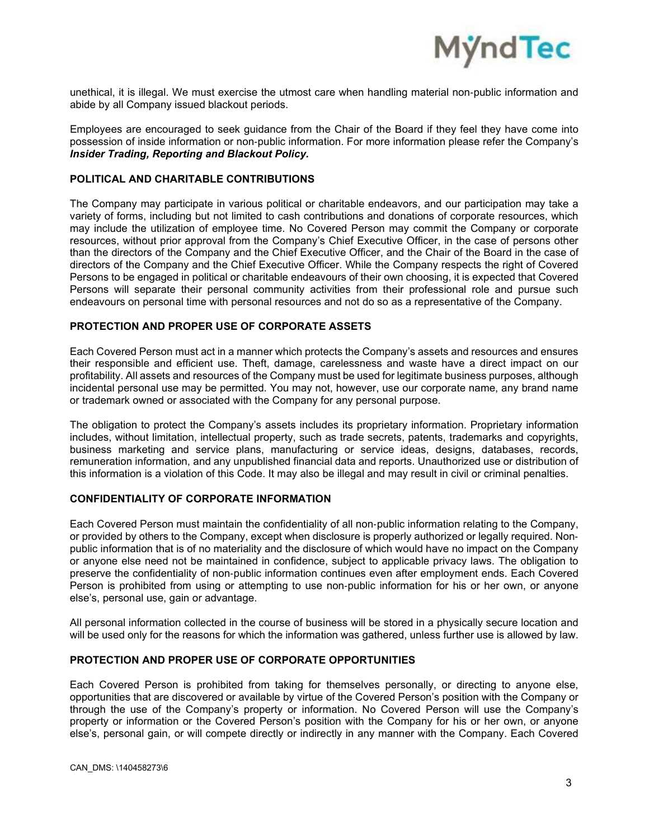

unethical, it is illegal. We must exercise the utmost care when handling material non‐public information and abide by all Company issued blackout periods.

Employees are encouraged to seek guidance from the Chair of the Board if they feel they have come into possession of inside information or non‐public information. For more information please refer the Company's *Insider Trading, Reporting and Blackout Policy.*

### **POLITICAL AND CHARITABLE CONTRIBUTIONS**

The Company may participate in various political or charitable endeavors, and our participation may take a variety of forms, including but not limited to cash contributions and donations of corporate resources, which may include the utilization of employee time. No Covered Person may commit the Company or corporate resources, without prior approval from the Company's Chief Executive Officer, in the case of persons other than the directors of the Company and the Chief Executive Officer, and the Chair of the Board in the case of directors of the Company and the Chief Executive Officer. While the Company respects the right of Covered Persons to be engaged in political or charitable endeavours of their own choosing, it is expected that Covered Persons will separate their personal community activities from their professional role and pursue such endeavours on personal time with personal resources and not do so as a representative of the Company.

## **PROTECTION AND PROPER USE OF CORPORATE ASSETS**

Each Covered Person must act in a manner which protects the Company's assets and resources and ensures their responsible and efficient use. Theft, damage, carelessness and waste have a direct impact on our profitability. All assets and resources of the Company must be used for legitimate business purposes, although incidental personal use may be permitted. You may not, however, use our corporate name, any brand name or trademark owned or associated with the Company for any personal purpose.

The obligation to protect the Company's assets includes its proprietary information. Proprietary information includes, without limitation, intellectual property, such as trade secrets, patents, trademarks and copyrights, business marketing and service plans, manufacturing or service ideas, designs, databases, records, remuneration information, and any unpublished financial data and reports. Unauthorized use or distribution of this information is a violation of this Code. It may also be illegal and may result in civil or criminal penalties.

## **CONFIDENTIALITY OF CORPORATE INFORMATION**

Each Covered Person must maintain the confidentiality of all non‐public information relating to the Company, or provided by others to the Company, except when disclosure is properly authorized or legally required. Non‐ public information that is of no materiality and the disclosure of which would have no impact on the Company or anyone else need not be maintained in confidence, subject to applicable privacy laws. The obligation to preserve the confidentiality of non‐public information continues even after employment ends. Each Covered Person is prohibited from using or attempting to use non‐public information for his or her own, or anyone else's, personal use, gain or advantage.

All personal information collected in the course of business will be stored in a physically secure location and will be used only for the reasons for which the information was gathered, unless further use is allowed by law.

## **PROTECTION AND PROPER USE OF CORPORATE OPPORTUNITIES**

Each Covered Person is prohibited from taking for themselves personally, or directing to anyone else, opportunities that are discovered or available by virtue of the Covered Person's position with the Company or through the use of the Company's property or information. No Covered Person will use the Company's property or information or the Covered Person's position with the Company for his or her own, or anyone else's, personal gain, or will compete directly or indirectly in any manner with the Company. Each Covered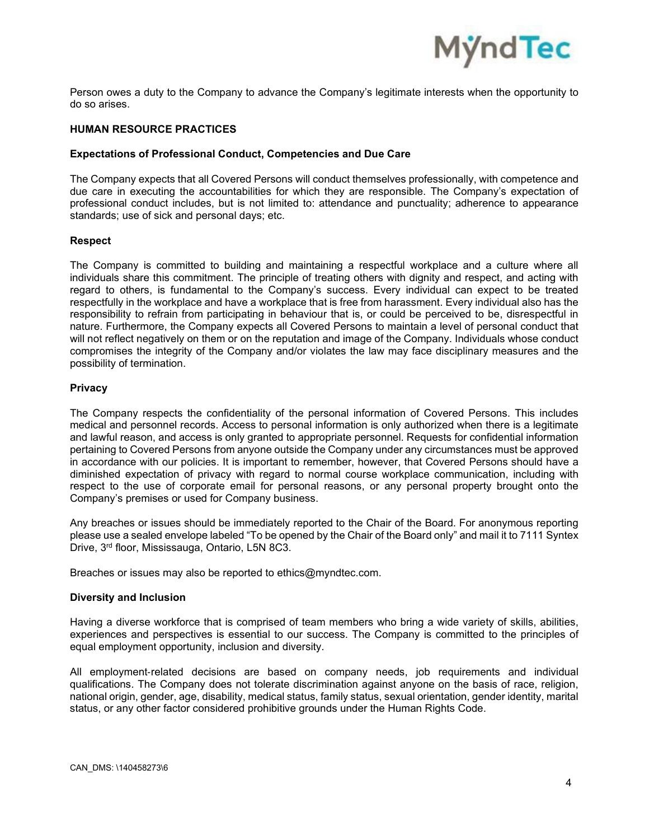

Person owes a duty to the Company to advance the Company's legitimate interests when the opportunity to do so arises.

## **HUMAN RESOURCE PRACTICES**

#### **Expectations of Professional Conduct, Competencies and Due Care**

The Company expects that all Covered Persons will conduct themselves professionally, with competence and due care in executing the accountabilities for which they are responsible. The Company's expectation of professional conduct includes, but is not limited to: attendance and punctuality; adherence to appearance standards; use of sick and personal days; etc.

#### **Respect**

The Company is committed to building and maintaining a respectful workplace and a culture where all individuals share this commitment. The principle of treating others with dignity and respect, and acting with regard to others, is fundamental to the Company's success. Every individual can expect to be treated respectfully in the workplace and have a workplace that is free from harassment. Every individual also has the responsibility to refrain from participating in behaviour that is, or could be perceived to be, disrespectful in nature. Furthermore, the Company expects all Covered Persons to maintain a level of personal conduct that will not reflect negatively on them or on the reputation and image of the Company. Individuals whose conduct compromises the integrity of the Company and/or violates the law may face disciplinary measures and the possibility of termination.

### **Privacy**

The Company respects the confidentiality of the personal information of Covered Persons. This includes medical and personnel records. Access to personal information is only authorized when there is a legitimate and lawful reason, and access is only granted to appropriate personnel. Requests for confidential information pertaining to Covered Persons from anyone outside the Company under any circumstances must be approved in accordance with our policies. It is important to remember, however, that Covered Persons should have a diminished expectation of privacy with regard to normal course workplace communication, including with respect to the use of corporate email for personal reasons, or any personal property brought onto the Company's premises or used for Company business.

Any breaches or issues should be immediately reported to the Chair of the Board. For anonymous reporting please use a sealed envelope labeled "To be opened by the Chair of the Board only" and mail it to 7111 Syntex Drive, 3rd floor, Mississauga, Ontario, L5N 8C3.

Breaches or issues may also be reported to ethics@myndtec.com.

#### **Diversity and Inclusion**

Having a diverse workforce that is comprised of team members who bring a wide variety of skills, abilities, experiences and perspectives is essential to our success. The Company is committed to the principles of equal employment opportunity, inclusion and diversity.

All employment-related decisions are based on company needs, job requirements and individual qualifications. The Company does not tolerate discrimination against anyone on the basis of race, religion, national origin, gender, age, disability, medical status, family status, sexual orientation, gender identity, marital status, or any other factor considered prohibitive grounds under the Human Rights Code.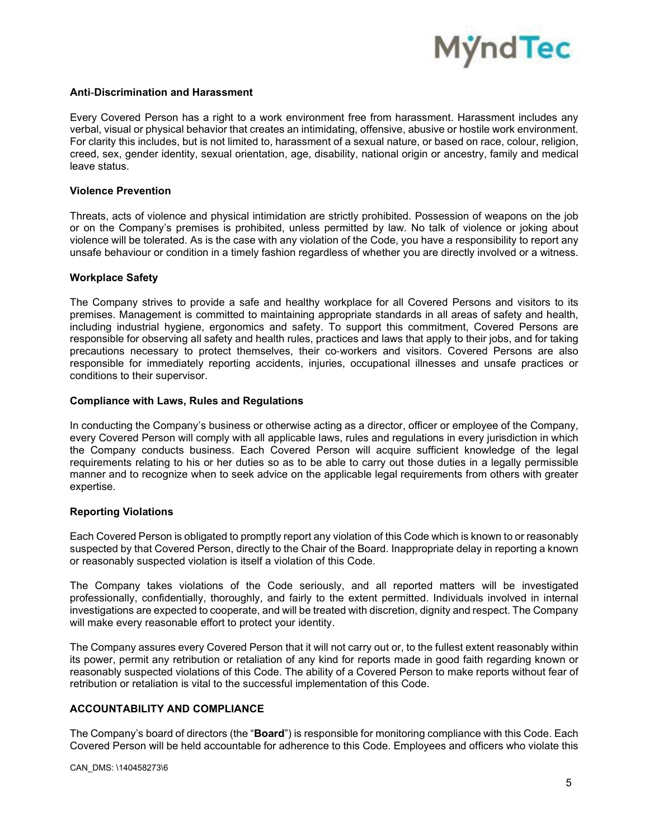

## **Anti**‐**Discrimination and Harassment**

Every Covered Person has a right to a work environment free from harassment. Harassment includes any verbal, visual or physical behavior that creates an intimidating, offensive, abusive or hostile work environment. For clarity this includes, but is not limited to, harassment of a sexual nature, or based on race, colour, religion, creed, sex, gender identity, sexual orientation, age, disability, national origin or ancestry, family and medical leave status.

#### **Violence Prevention**

Threats, acts of violence and physical intimidation are strictly prohibited. Possession of weapons on the job or on the Company's premises is prohibited, unless permitted by law. No talk of violence or joking about violence will be tolerated. As is the case with any violation of the Code, you have a responsibility to report any unsafe behaviour or condition in a timely fashion regardless of whether you are directly involved or a witness.

### **Workplace Safety**

The Company strives to provide a safe and healthy workplace for all Covered Persons and visitors to its premises. Management is committed to maintaining appropriate standards in all areas of safety and health, including industrial hygiene, ergonomics and safety. To support this commitment, Covered Persons are responsible for observing all safety and health rules, practices and laws that apply to their jobs, and for taking precautions necessary to protect themselves, their co‐workers and visitors. Covered Persons are also responsible for immediately reporting accidents, injuries, occupational illnesses and unsafe practices or conditions to their supervisor.

### **Compliance with Laws, Rules and Regulations**

In conducting the Company's business or otherwise acting as a director, officer or employee of the Company, every Covered Person will comply with all applicable laws, rules and regulations in every jurisdiction in which the Company conducts business. Each Covered Person will acquire sufficient knowledge of the legal requirements relating to his or her duties so as to be able to carry out those duties in a legally permissible manner and to recognize when to seek advice on the applicable legal requirements from others with greater expertise.

## **Reporting Violations**

Each Covered Person is obligated to promptly report any violation of this Code which is known to or reasonably suspected by that Covered Person, directly to the Chair of the Board. Inappropriate delay in reporting a known or reasonably suspected violation is itself a violation of this Code.

The Company takes violations of the Code seriously, and all reported matters will be investigated professionally, confidentially, thoroughly, and fairly to the extent permitted. Individuals involved in internal investigations are expected to cooperate, and will be treated with discretion, dignity and respect. The Company will make every reasonable effort to protect your identity.

The Company assures every Covered Person that it will not carry out or, to the fullest extent reasonably within its power, permit any retribution or retaliation of any kind for reports made in good faith regarding known or reasonably suspected violations of this Code. The ability of a Covered Person to make reports without fear of retribution or retaliation is vital to the successful implementation of this Code.

## **ACCOUNTABILITY AND COMPLIANCE**

The Company's board of directors (the "**Board**") is responsible for monitoring compliance with this Code. Each Covered Person will be held accountable for adherence to this Code. Employees and officers who violate this